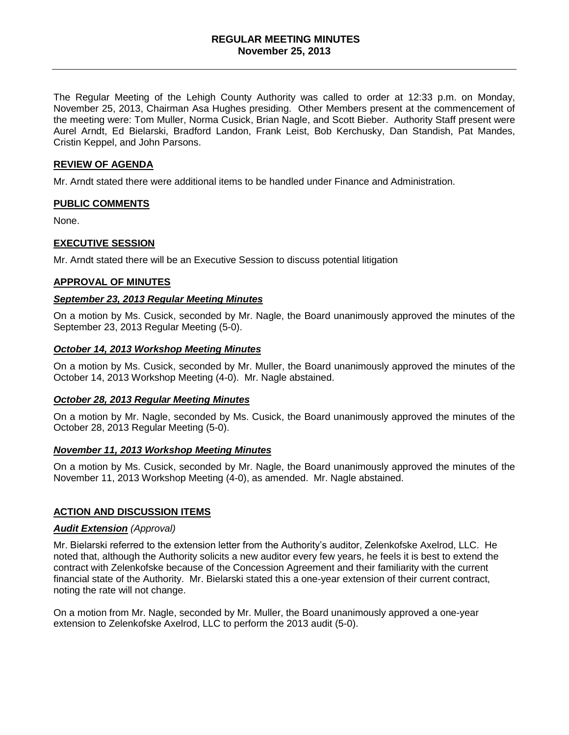The Regular Meeting of the Lehigh County Authority was called to order at 12:33 p.m. on Monday, November 25, 2013, Chairman Asa Hughes presiding. Other Members present at the commencement of the meeting were: Tom Muller, Norma Cusick, Brian Nagle, and Scott Bieber. Authority Staff present were Aurel Arndt, Ed Bielarski, Bradford Landon, Frank Leist, Bob Kerchusky, Dan Standish, Pat Mandes, Cristin Keppel, and John Parsons.

### **REVIEW OF AGENDA**

Mr. Arndt stated there were additional items to be handled under Finance and Administration.

## **PUBLIC COMMENTS**

None.

## **EXECUTIVE SESSION**

Mr. Arndt stated there will be an Executive Session to discuss potential litigation

### **APPROVAL OF MINUTES**

### *September 23, 2013 Regular Meeting Minutes*

On a motion by Ms. Cusick, seconded by Mr. Nagle, the Board unanimously approved the minutes of the September 23, 2013 Regular Meeting (5-0).

### *October 14, 2013 Workshop Meeting Minutes*

On a motion by Ms. Cusick, seconded by Mr. Muller, the Board unanimously approved the minutes of the October 14, 2013 Workshop Meeting (4-0). Mr. Nagle abstained.

#### *October 28, 2013 Regular Meeting Minutes*

On a motion by Mr. Nagle, seconded by Ms. Cusick, the Board unanimously approved the minutes of the October 28, 2013 Regular Meeting (5-0).

#### *November 11, 2013 Workshop Meeting Minutes*

On a motion by Ms. Cusick, seconded by Mr. Nagle, the Board unanimously approved the minutes of the November 11, 2013 Workshop Meeting (4-0), as amended. Mr. Nagle abstained.

## **ACTION AND DISCUSSION ITEMS**

#### *Audit Extension (Approval)*

Mr. Bielarski referred to the extension letter from the Authority's auditor, Zelenkofske Axelrod, LLC. He noted that, although the Authority solicits a new auditor every few years, he feels it is best to extend the contract with Zelenkofske because of the Concession Agreement and their familiarity with the current financial state of the Authority. Mr. Bielarski stated this a one-year extension of their current contract, noting the rate will not change.

On a motion from Mr. Nagle, seconded by Mr. Muller, the Board unanimously approved a one-year extension to Zelenkofske Axelrod, LLC to perform the 2013 audit (5-0).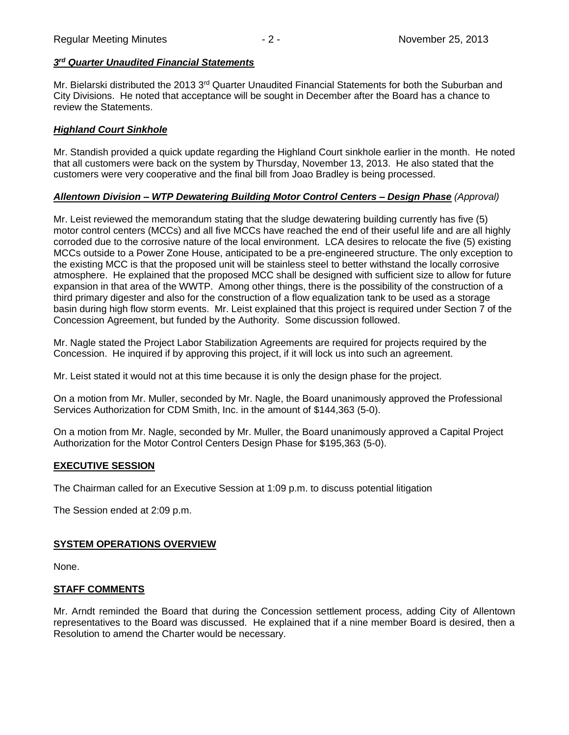### *3 rd Quarter Unaudited Financial Statements*

Mr. Bielarski distributed the 2013 3rd Quarter Unaudited Financial Statements for both the Suburban and City Divisions. He noted that acceptance will be sought in December after the Board has a chance to review the Statements.

## *Highland Court Sinkhole*

Mr. Standish provided a quick update regarding the Highland Court sinkhole earlier in the month. He noted that all customers were back on the system by Thursday, November 13, 2013. He also stated that the customers were very cooperative and the final bill from Joao Bradley is being processed.

# *Allentown Division – WTP Dewatering Building Motor Control Centers – Design Phase (Approval)*

Mr. Leist reviewed the memorandum stating that the sludge dewatering building currently has five (5) motor control centers (MCCs) and all five MCCs have reached the end of their useful life and are all highly corroded due to the corrosive nature of the local environment. LCA desires to relocate the five (5) existing MCCs outside to a Power Zone House, anticipated to be a pre-engineered structure. The only exception to the existing MCC is that the proposed unit will be stainless steel to better withstand the locally corrosive atmosphere. He explained that the proposed MCC shall be designed with sufficient size to allow for future expansion in that area of the WWTP. Among other things, there is the possibility of the construction of a third primary digester and also for the construction of a flow equalization tank to be used as a storage basin during high flow storm events. Mr. Leist explained that this project is required under Section 7 of the Concession Agreement, but funded by the Authority. Some discussion followed.

Mr. Nagle stated the Project Labor Stabilization Agreements are required for projects required by the Concession. He inquired if by approving this project, if it will lock us into such an agreement.

Mr. Leist stated it would not at this time because it is only the design phase for the project.

On a motion from Mr. Muller, seconded by Mr. Nagle, the Board unanimously approved the Professional Services Authorization for CDM Smith, Inc. in the amount of \$144,363 (5-0).

On a motion from Mr. Nagle, seconded by Mr. Muller, the Board unanimously approved a Capital Project Authorization for the Motor Control Centers Design Phase for \$195,363 (5-0).

## **EXECUTIVE SESSION**

The Chairman called for an Executive Session at 1:09 p.m. to discuss potential litigation

The Session ended at 2:09 p.m.

## **SYSTEM OPERATIONS OVERVIEW**

None.

## **STAFF COMMENTS**

Mr. Arndt reminded the Board that during the Concession settlement process, adding City of Allentown representatives to the Board was discussed. He explained that if a nine member Board is desired, then a Resolution to amend the Charter would be necessary.